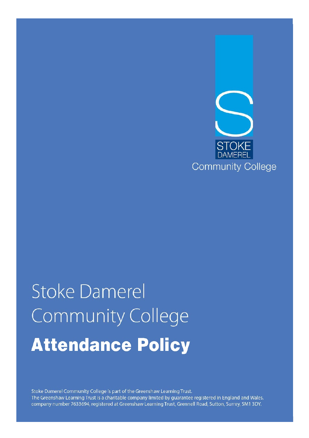

# **Stoke Damerel Community College Attendance Policy**

Stoke Damerel Community College is part of the Greenshaw Learning Trust. The Greenshaw Learning Trust is a charitable company limited by guarantee registered in England and Wales, company number 7633694, registered at Greenshaw Learning Trust, Grennell Road, Sutton, Surrey, SM1 3DY.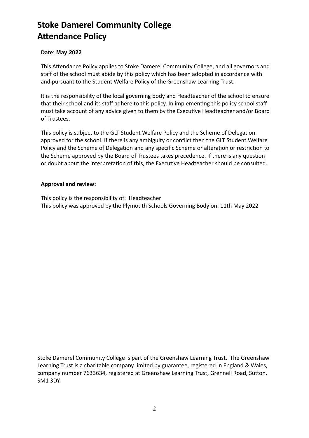# **Stoke Damerel Community College Attendance Policy**

# **Date**: **May 2022**

This Attendance Policy applies to Stoke Damerel Community College, and all governors and staff of the school must abide by this policy which has been adopted in accordance with and pursuant to the Student Welfare Policy of the Greenshaw Learning Trust.

It is the responsibility of the local governing body and Headteacher of the school to ensure that their school and its staff adhere to this policy. In implementing this policy school staff must take account of any advice given to them by the Executive Headteacher and/or Board of Trustees.

This policy is subject to the GLT Student Welfare Policy and the Scheme of Delegation approved for the school. If there is any ambiguity or conflict then the GLT Student Welfare Policy and the Scheme of Delegation and any specific Scheme or alteration or restriction to the Scheme approved by the Board of Trustees takes precedence. If there is any question or doubt about the interpretation of this, the Executive Headteacher should be consulted.

#### **Approval and review:**

This policy is the responsibility of: Headteacher This policy was approved by the Plymouth Schools Governing Body on: 11th May 2022

Stoke Damerel Community College is part of the Greenshaw Learning Trust. The Greenshaw Learning Trust is a charitable company limited by guarantee, registered in England & Wales, company number 7633634, registered at Greenshaw Learning Trust, Grennell Road, Sutton, SM1 3DY.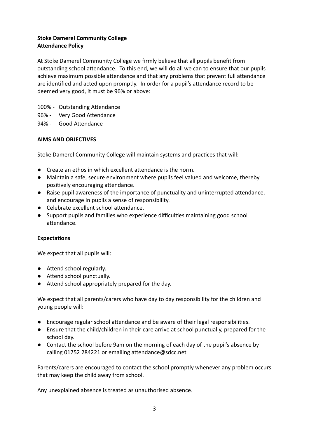# **Stoke Damerel Community College Attendance Policy**

At Stoke Damerel Community College we firmly believe that all pupils benefit from outstanding school attendance. To this end, we will do all we can to ensure that our pupils achieve maximum possible attendance and that any problems that prevent full attendance are identified and acted upon promptly. In order for a pupil's attendance record to be deemed very good, it must be 96% or above:

- 100% Outstanding Attendance
- 96% Very Good Attendance
- 94% Good Attendance

#### **AIMS AND OBJECTIVES**

Stoke Damerel Community College will maintain systems and practices that will:

- $\bullet$  Create an ethos in which excellent attendance is the norm.
- Maintain a safe, secure environment where pupils feel valued and welcome, thereby positively encouraging attendance.
- Raise pupil awareness of the importance of punctuality and uninterrupted attendance, and encourage in pupils a sense of responsibility.
- Celebrate excellent school attendance.
- **•** Support pupils and families who experience difficulties maintaining good school attendance.

#### **Expectations**

We expect that all pupils will:

- Attend school regularly.
- Attend school punctually.
- Attend school appropriately prepared for the day.

We expect that all parents/carers who have day to day responsibility for the children and young people will:

- Encourage regular school attendance and be aware of their legal responsibilities.
- Ensure that the child/children in their care arrive at school punctually, prepared for the school day.
- Contact the school before 9am on the morning of each day of the pupil's absence by calling 01752 284221 or emailing attendance@sdcc.net

Parents/carers are encouraged to contact the school promptly whenever any problem occurs that may keep the child away from school.

Any unexplained absence is treated as unauthorised absence.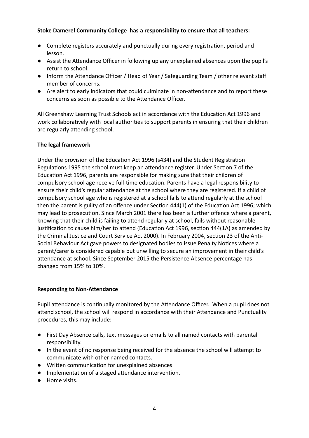# **Stoke Damerel Community College has a responsibility to ensure that all teachers:**

- Complete registers accurately and punctually during every registration, period and lesson.
- Assist the Attendance Officer in following up any unexplained absences upon the pupil's return to school.
- Inform the Attendance Officer / Head of Year / Safeguarding Team / other relevant staff member of concerns.
- Are alert to early indicators that could culminate in non-attendance and to report these concerns as soon as possible to the Attendance Officer.

All Greenshaw Learning Trust Schools act in accordance with the Education Act 1996 and work collaboratively with local authorities to support parents in ensuring that their children are regularly attending school.

#### **The legal framework**

Under the provision of the Education Act 1996 (s434) and the Student Registration Regulations 1995 the school must keep an attendance register. Under Section 7 of the Education Act 1996, parents are responsible for making sure that their children of compulsory school age receive full-time education. Parents have a legal responsibility to ensure their child's regular attendance at the school where they are registered. If a child of compulsory school age who is registered at a school fails to attend regularly at the school then the parent is guilty of an offence under Section 444(1) of the Education Act 1996; which may lead to prosecution. Since March 2001 there has been a further offence where a parent, knowing that their child is failing to attend regularly at school, fails without reasonable justification to cause him/her to attend (Education Act 1996, section  $444(1A)$  as amended by the Criminal Justice and Court Service Act 2000). In February 2004, section 23 of the Anti-Social Behaviour Act gave powers to designated bodies to issue Penalty Notices where a parent/carer is considered capable but unwilling to secure an improvement in their child's attendance at school. Since September 2015 the Persistence Absence percentage has changed from 15% to 10%.

#### **Responding to Non-Attendance**

Pupil attendance is continually monitored by the Attendance Officer. When a pupil does not attend school, the school will respond in accordance with their Attendance and Punctuality procedures, this may include:

- First Day Absence calls, text messages or emails to all named contacts with parental responsibility.
- In the event of no response being received for the absence the school will attempt to communicate with other named contacts.
- Written communication for unexplained absences.
- Implementation of a staged attendance intervention.
- Home visits.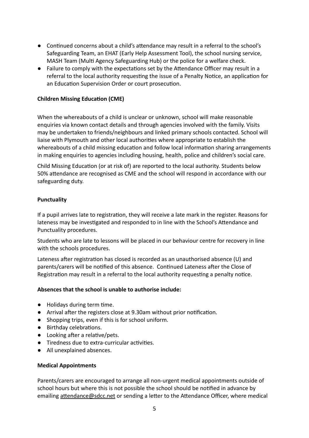- Continued concerns about a child's attendance may result in a referral to the school's Safeguarding Team, an EHAT (Early Help Assessment Tool), the school nursing service, MASH Team (Multi Agency Safeguarding Hub) or the police for a welfare check.
- Failure to comply with the expectations set by the Attendance Officer may result in a referral to the local authority requesting the issue of a Penalty Notice, an application for an Education Supervision Order or court prosecution.

# **Children Missing Education (CME)**

When the whereabouts of a child is unclear or unknown, school will make reasonable enquiries via known contact details and through agencies involved with the family. Visits may be undertaken to friends/neighbours and linked primary schools contacted. School will liaise with Plymouth and other local authorities where appropriate to establish the whereabouts of a child missing education and follow local information sharing arrangements in making enquiries to agencies including housing, health, police and children's social care.

Child Missing Education (or at risk of) are reported to the local authority. Students below 50% attendance are recognised as CME and the school will respond in accordance with our safeguarding duty.

#### **Punctuality**

If a pupil arrives late to registration, they will receive a late mark in the register. Reasons for lateness may be investigated and responded to in line with the School's Attendance and Punctuality procedures.

Students who are late to lessons will be placed in our behaviour centre for recovery in line with the schools procedures.

Lateness after registration has closed is recorded as an unauthorised absence (U) and parents/carers will be notified of this absence. Continued Lateness after the Close of Registration may result in a referral to the local authority requesting a penalty notice.

#### **Absences that the school is unable to authorise include:**

- $\bullet$  Holidays during term time.
- Arrival after the registers close at 9.30am without prior notification.
- Shopping trips, even if this is for school uniform.
- Birthday celebrations.
- $\bullet$  Looking after a relative/pets.
- Tiredness due to extra-curricular activities.
- All unexplained absences.

#### **Medical Appointments**

Parents/carers are encouraged to arrange all non-urgent medical appointments outside of school hours but where this is not possible the school should be notified in advance by emailing attendance@sdcc.net or sending a letter to the Attendance Officer, where medical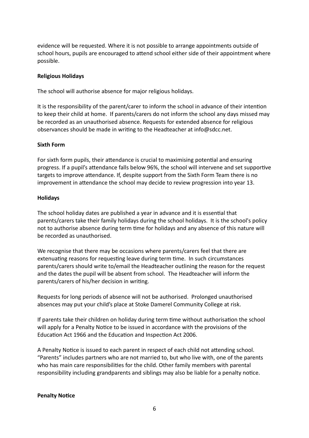evidence will be requested. Where it is not possible to arrange appointments outside of school hours, pupils are encouraged to attend school either side of their appointment where possible.

#### **Religious Holidays**

The school will authorise absence for major religious holidays.

It is the responsibility of the parent/carer to inform the school in advance of their intention to keep their child at home. If parents/carers do not inform the school any days missed may be recorded as an unauthorised absence. Requests for extended absence for religious observances should be made in writing to the Headteacher at info@sdcc.net.

#### **Sixth Form**

For sixth form pupils, their attendance is crucial to maximising potential and ensuring progress. If a pupil's attendance falls below 96%, the school will intervene and set supportive targets to improve attendance. If, despite support from the Sixth Form Team there is no improvement in attendance the school may decide to review progression into year 13.

#### **Holidays**

The school holiday dates are published a year in advance and it is essential that parents/carers take their family holidays during the school holidays. It is the school's policy not to authorise absence during term time for holidays and any absence of this nature will be recorded as unauthorised.

We recognise that there may be occasions where parents/carers feel that there are extenuating reasons for requesting leave during term time. In such circumstances parents/carers should write to/email the Headteacher outlining the reason for the request and the dates the pupil will be absent from school. The Headteacher will inform the parents/carers of his/her decision in writing.

Requests for long periods of absence will not be authorised. Prolonged unauthorised absences may put your child's place at Stoke Damerel Community College at risk.

If parents take their children on holiday during term time without authorisation the school will apply for a Penalty Notice to be issued in accordance with the provisions of the Education Act 1966 and the Education and Inspection Act 2006.

A Penalty Notice is issued to each parent in respect of each child not attending school. "Parents" includes partners who are not married to, but who live with, one of the parents who has main care responsibilities for the child. Other family members with parental responsibility including grandparents and siblings may also be liable for a penalty notice.

#### **Penalty Notice**